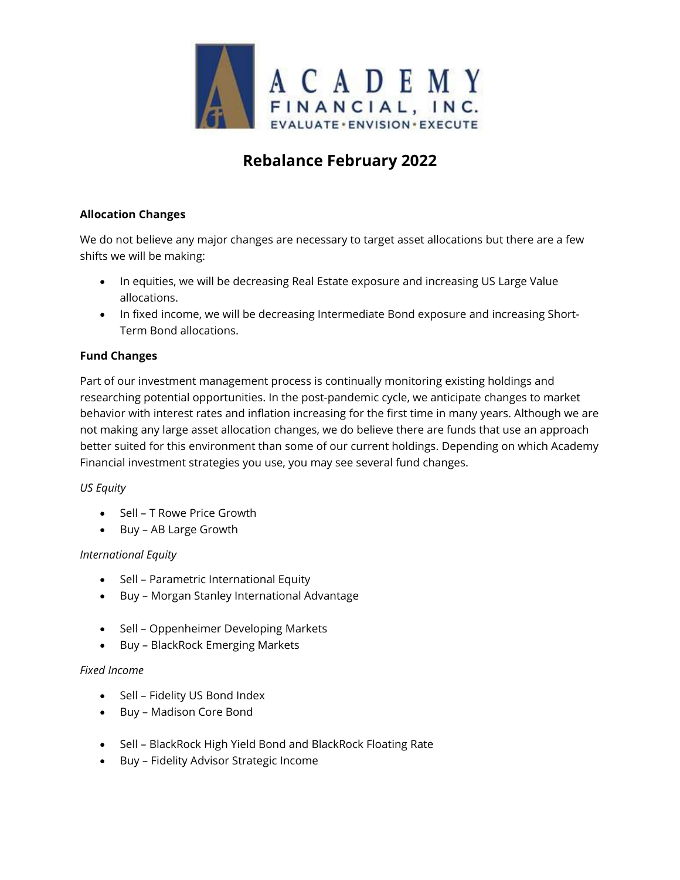

# **Rebalance February 2022**

## **Allocation Changes**

We do not believe any major changes are necessary to target asset allocations but there are a few shifts we will be making:

- In equities, we will be decreasing Real Estate exposure and increasing US Large Value allocations.
- In fixed income, we will be decreasing Intermediate Bond exposure and increasing Short-Term Bond allocations.

## **Fund Changes**

Part of our investment management process is continually monitoring existing holdings and researching potential opportunities. In the post-pandemic cycle, we anticipate changes to market behavior with interest rates and inflation increasing for the first time in many years. Although we are not making any large asset allocation changes, we do believe there are funds that use an approach better suited for this environment than some of our current holdings. Depending on which Academy Financial investment strategies you use, you may see several fund changes.

## *US Equity*

- Sell T Rowe Price Growth
- Buy AB Large Growth

## *International Equity*

- Sell Parametric International Equity
- Buy Morgan Stanley International Advantage
- Sell Oppenheimer Developing Markets
- Buy BlackRock Emerging Markets

#### *Fixed Income*

- Sell Fidelity US Bond Index
- Buy Madison Core Bond
- Sell BlackRock High Yield Bond and BlackRock Floating Rate
- Buy Fidelity Advisor Strategic Income